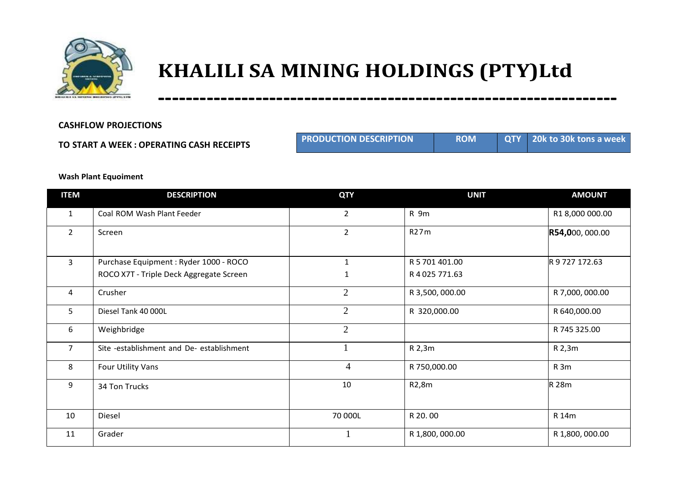

## **KHALILI SA MINING HOLDINGS (PTY)Ltd**

**------------------------------------------------------------------**

## **CASHFLOW PROJECTIONS**

**TO START A WEEK : OPERATING CASH RECEIPTS**

| <b>PRODUCTION DESCRIPTION</b> | <b>ROM</b> | <b>QTY</b> 20k to 30k tons a week |
|-------------------------------|------------|-----------------------------------|
|                               |            |                                   |

## **Wash Plant Equoiment**

| <b>ITEM</b>    | <b>DESCRIPTION</b>                        | <b>QTY</b>     | <b>UNIT</b>     | <b>AMOUNT</b>   |
|----------------|-------------------------------------------|----------------|-----------------|-----------------|
| $\mathbf{1}$   | Coal ROM Wash Plant Feeder                | $\overline{2}$ | R 9m            | R18,000000.00   |
| $\overline{2}$ | Screen                                    | $\overline{2}$ | R27m            | R54,000,000.00  |
| $\mathbf{3}$   | Purchase Equipment: Ryder 1000 - ROCO     | $\mathbf{1}$   | R 5 701 401.00  | R 9 727 172.63  |
|                | ROCO X7T - Triple Deck Aggregate Screen   | 1              | R 4 025 771.63  |                 |
| 4              | Crusher                                   | $\overline{2}$ | R 3,500, 000.00 | R 7,000,000.00  |
| 5              | Diesel Tank 40 000L                       | $\overline{2}$ | R 320,000.00    | R 640,000.00    |
| 6              | Weighbridge                               | $\overline{2}$ |                 | R 745 325.00    |
| $\overline{7}$ | Site -establishment and De- establishment | $\mathbf{1}$   | R 2,3m          | R 2,3m          |
| 8              | Four Utility Vans                         | $\overline{4}$ | R 750,000.00    | R <sub>3m</sub> |
| 9              | 34 Ton Trucks                             | 10             | R2,8m           | R 28m           |
| 10             | Diesel                                    | 70 000L        | R 20.00         | R 14m           |
| 11             | Grader                                    |                | R 1,800, 000.00 | R 1,800, 000.00 |